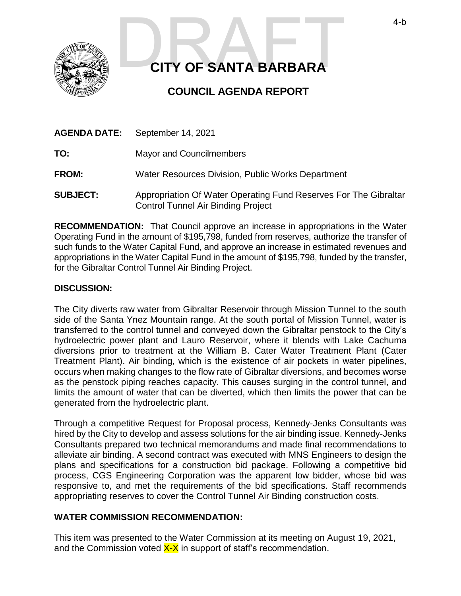

# **CITY OF SANTA BARBARA** 4-b<br>CITY OF SANTA BARBARA

# **COUNCIL AGENDA REPORT**

| <b>AGENDA DATE:</b> | September 14, 2021                                               |
|---------------------|------------------------------------------------------------------|
| TO:                 | <b>Mayor and Councilmembers</b>                                  |
| <b>FROM:</b>        | Water Resources Division, Public Works Department                |
| <b>SUBJECT:</b>     | Appropriation Of Water Operating Fund Reserves For The Gibraltar |

Control Tunnel Air Binding Project

**RECOMMENDATION:** That Council approve an increase in appropriations in the Water Operating Fund in the amount of \$195,798, funded from reserves, authorize the transfer of such funds to the Water Capital Fund, and approve an increase in estimated revenues and appropriations in the Water Capital Fund in the amount of \$195,798, funded by the transfer, for the Gibraltar Control Tunnel Air Binding Project.

### **DISCUSSION:**

The City diverts raw water from Gibraltar Reservoir through Mission Tunnel to the south side of the Santa Ynez Mountain range. At the south portal of Mission Tunnel, water is transferred to the control tunnel and conveyed down the Gibraltar penstock to the City's hydroelectric power plant and Lauro Reservoir, where it blends with Lake Cachuma diversions prior to treatment at the William B. Cater Water Treatment Plant (Cater Treatment Plant). Air binding, which is the existence of air pockets in water pipelines, occurs when making changes to the flow rate of Gibraltar diversions, and becomes worse as the penstock piping reaches capacity. This causes surging in the control tunnel, and limits the amount of water that can be diverted, which then limits the power that can be generated from the hydroelectric plant.

Through a competitive Request for Proposal process, Kennedy-Jenks Consultants was hired by the City to develop and assess solutions for the air binding issue. Kennedy-Jenks Consultants prepared two technical memorandums and made final recommendations to alleviate air binding. A second contract was executed with MNS Engineers to design the plans and specifications for a construction bid package. Following a competitive bid process, CGS Engineering Corporation was the apparent low bidder, whose bid was responsive to, and met the requirements of the bid specifications. Staff recommends appropriating reserves to cover the Control Tunnel Air Binding construction costs.

## **WATER COMMISSION RECOMMENDATION:**

This item was presented to the Water Commission at its meeting on August 19, 2021, and the Commission voted  $X-X$  in support of staff's recommendation.